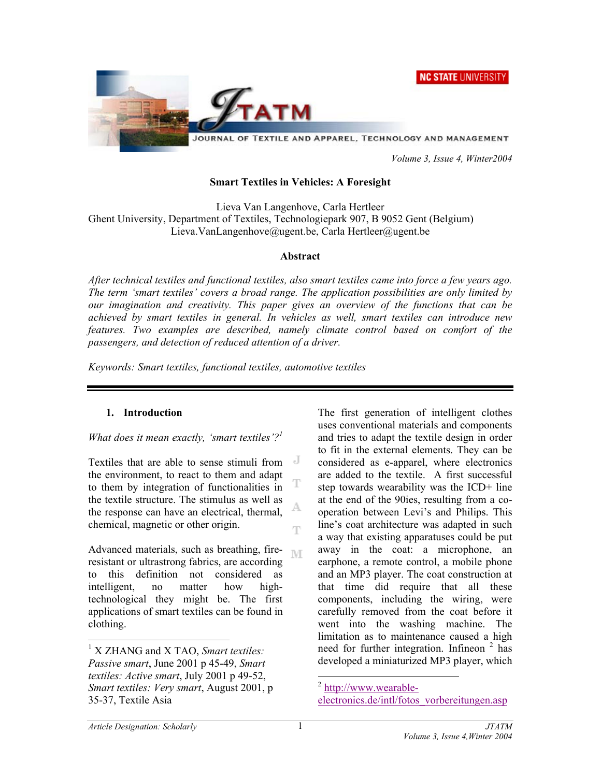**NC STATE UNIVERSITY** 



 *Volume 3, Issue 4, Winter2004* 

#### **Smart Textiles in Vehicles: A Foresight**

Lieva Van Langenhove, Carla Hertleer Ghent University, Department of Textiles, Technologiepark 907, B 9052 Gent (Belgium) Lieva.VanLangenhove@ugent.be, Carla Hertleer@ugent.be

#### **Abstract**

*After technical textiles and functional textiles, also smart textiles came into force a few years ago. The term 'smart textiles' covers a broad range. The application possibilities are only limited by our imagination and creativity. This paper gives an overview of the functions that can be achieved by smart textiles in general. In vehicles as well, smart textiles can introduce new features. Two examples are described, namely climate control based on comfort of the passengers, and detection of reduced attention of a driver.* 

Т

A

**NT** 

*Keywords: Smart textiles, functional textiles, automotive textiles*

#### **1. Introduction**

#### *What does it mean exactly, 'smart textiles'?1*

 $\mathbf{J}$ Textiles that are able to sense stimuli from the environment, to react to them and adapt to them by integration of functionalities in the textile structure. The stimulus as well as the response can have an electrical, thermal, chemical, magnetic or other origin. Ŧ

Advanced materials, such as breathing, fireresistant or ultrastrong fabrics, are according to this definition not considered as intelligent, no matter how hightechnological they might be. The first applications of smart textiles can be found in clothing.

The first generation of intelligent clothes uses conventional materials and components and tries to adapt the textile design in order to fit in the external elements. They can be considered as e-apparel, where electronics are added to the textile. A first successful step towards wearability was the ICD+ line at the end of the 90ies, resulting from a cooperation between Levi's and Philips. This line's coat architecture was adapted in such a way that existing apparatuses could be put away in the coat: a microphone, an earphone, a remote control, a mobile phone and an MP3 player. The coat construction at that time did require that all these components, including the wiring, were carefully removed from the coat before it went into the washing machine. The limitation as to maintenance caused a high need for further integration. Infineon<sup>2</sup> has developed a miniaturized MP3 player, which

 $\overline{\phantom{a}}$ 

<sup>1</sup> X ZHANG and X TAO, *Smart textiles: Passive smart*, June 2001 p 45-49, *Smart textiles: Active smart*, July 2001 p 49-52, *Smart textiles: Very smart*, August 2001, p 35-37, Textile Asia

 $\overline{a}$  $2$  http://www.wearable[electronics.de/intl/fotos\\_vorbereitungen.asp](http://www.wearableelectronics.de/intl/fotos_vorbereitungen.asp)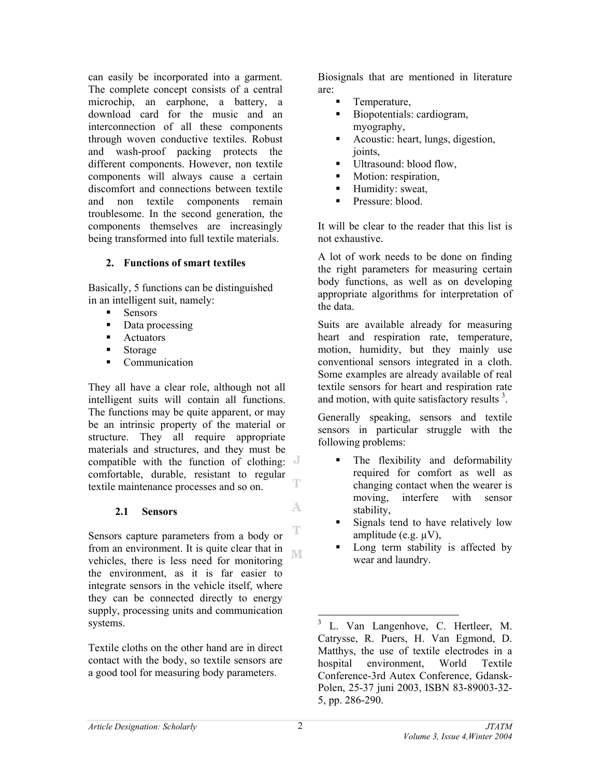can easily be incorporated into a garment. The complete concept consists of a central microchip, an earphone, a battery, a download card for the music and an interconnection of all these components through woven conductive textiles. Robust and wash-proof packing protects the different components. However, non textile components will always cause a certain discomfort and connections between textile and non textile components remain troublesome. In the second generation, the components themselves are increasingly being transformed into full textile materials.

## **2. Functions of smart textiles**

Basically, 5 functions can be distinguished in an intelligent suit, namely:

- **Sensors**
- Data processing
- **-** Actuators
- **Storage**
- Communication

They all have a clear role, although not all intelligent suits will contain all functions. The functions may be quite apparent, or may be an intrinsic property of the material or structure. They all require appropriate materials and structures, and they must be compatible with the function of clothing: comfortable, durable, resistant to regular T, textile maintenance processes and so on.

## **2.1 Sensors**

Sensors capture parameters from a body or from an environment. It is quite clear that in M vehicles, there is less need for monitoring the environment, as it is far easier to integrate sensors in the vehicle itself, where they can be connected directly to energy supply, processing units and communication systems.

Textile cloths on the other hand are in direct contact with the body, so textile sensors are a good tool for measuring body parameters.

Biosignals that are mentioned in literature are:

- Temperature,
- Biopotentials: cardiogram, myography,
- Acoustic: heart, lungs, digestion, joints,
- Ultrasound: blood flow,
- **Motion:** respiration,
- **Humidity: sweat,**
- Pressure: blood.

It will be clear to the reader that this list is not exhaustive.

A lot of work needs to be done on finding the right parameters for measuring certain body functions, as well as on developing appropriate algorithms for interpretation of the data.

Suits are available already for measuring heart and respiration rate, temperature, motion, humidity, but they mainly use conventional sensors integrated in a cloth. Some examples are already available of real textile sensors for heart and respiration rate and motion, with quite satisfactory results<sup>3</sup>.

Generally speaking, sensors and textile sensors in particular struggle with the following problems:

- The flexibility and deformability required for comfort as well as changing contact when the wearer is moving, interfere with sensor stability,
- Signals tend to have relatively low amplitude (e.g. µV),
- Long term stability is affected by wear and laundry.

l

A.

T

<sup>3</sup> L. Van Langenhove, C. Hertleer, M. Catrysse, R. Puers, H. Van Egmond, D. Matthys, the use of textile electrodes in a hospital environment, World Textile Conference-3rd Autex Conference, Gdansk-Polen, 25-37 juni 2003, ISBN 83-89003-32- 5, pp. 286-290.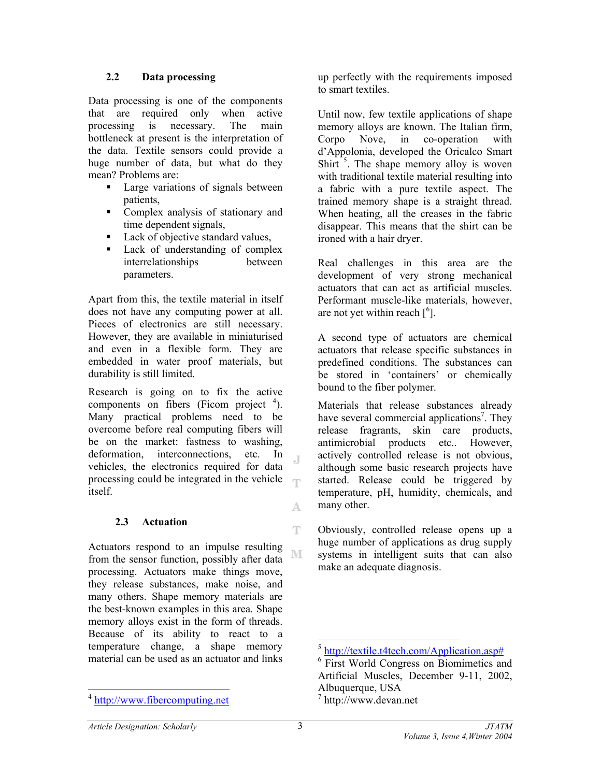## **2.2 Data processing**

Data processing is one of the components that are required only when active processing is necessary. The main bottleneck at present is the interpretation of the data. Textile sensors could provide a huge number of data, but what do they mean? Problems are:

- **Large variations of signals between** patients,
- Complex analysis of stationary and time dependent signals,
- Lack of objective standard values,
- Lack of understanding of complex interrelationships between parameters.

Apart from this, the textile material in itself does not have any computing power at all. Pieces of electronics are still necessary. However, they are available in miniaturised and even in a flexible form. They are embedded in water proof materials, but durability is still limited.

Research is going on to fix the active components on fibers (Ficom project  $4$ ). Many practical problems need to be overcome before real computing fibers will be on the market: fastness to washing, deformation, interconnections, etc. In Л. vehicles, the electronics required for data processing could be integrated in the vehicle itself.

## **2.3 Actuation**

Actuators respond to an impulse resulting ΝE from the sensor function, possibly after data processing. Actuators make things move, they release substances, make noise, and many others. Shape memory materials are the best-known examples in this area. Shape memory alloys exist in the form of threads. Because of its ability to react to a temperature change, a shape memory material can be used as an actuator and links

up perfectly with the requirements imposed to smart textiles.

Until now, few textile applications of shape memory alloys are known. The Italian firm, Corpo Nove, in co-operation with d'Appolonia, developed the Oricalco Smart Shirt  $5$ . The shape memory alloy is woven with traditional textile material resulting into a fabric with a pure textile aspect. The trained memory shape is a straight thread. When heating, all the creases in the fabric disappear. This means that the shirt can be ironed with a hair dryer.

Real challenges in this area are the development of very strong mechanical actuators that can act as artificial muscles. Performant muscle-like materials, however, are not yet within reach  $\lceil^{6} \rceil$ .

A second type of actuators are chemical actuators that release specific substances in predefined conditions. The substances can be stored in 'containers' or chemically bound to the fiber polymer.

Materials that release substances already have several commercial applications<sup>7</sup>. They release fragrants, skin care products, antimicrobial products etc.. However, actively controlled release is not obvious, although some basic research projects have started. Release could be triggered by temperature, pH, humidity, chemicals, and many other.

Obviously, controlled release opens up a huge number of applications as drug supply systems in intelligent suits that can also make an adequate diagnosis.

 $\overline{\phantom{a}}$ 

A.

Ŧ

<sup>&</sup>lt;sup>4</sup> <http://www.fibercomputing.net>

 $\overline{\phantom{a}}$  $5 \text{ http://textile.t4tech.com/Application.asp#}$  $5 \text{ http://textile.t4tech.com/Application.asp#}$  $5 \text{ http://textile.t4tech.com/Application.asp#}$ 

<sup>&</sup>lt;sup>6</sup> First World Congress on Biomimetics and Artificial Muscles, December 9-11, 2002, Albuquerque, USA

<sup>&</sup>lt;sup>7</sup> http://www.devan.net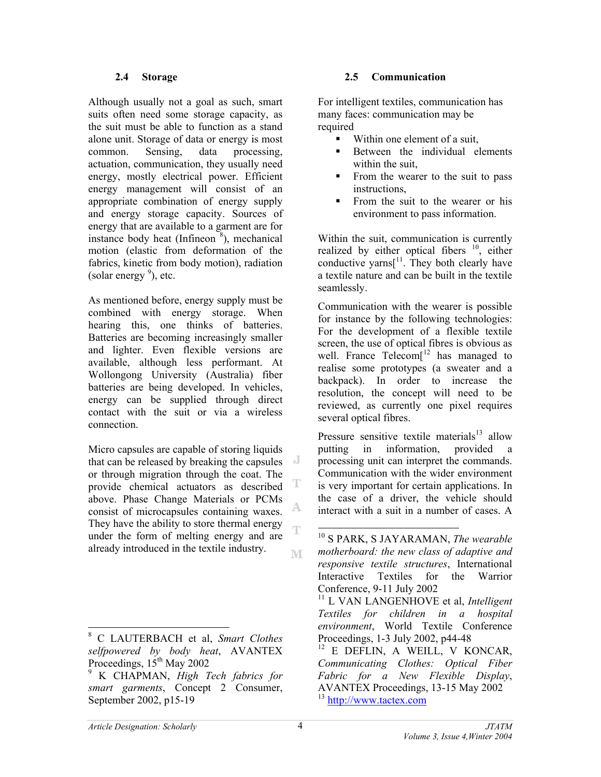#### **2.4 Storage**

Although usually not a goal as such, smart suits often need some storage capacity, as the suit must be able to function as a stand alone unit. Storage of data or energy is most common. Sensing, data processing, actuation, communication, they usually need energy, mostly electrical power. Efficient energy management will consist of an appropriate combination of energy supply and energy storage capacity. Sources of energy that are available to a garment are for instance body heat (Infineon $\frac{8}{3}$ ), mechanical motion (elastic from deformation of the fabrics, kinetic from body motion), radiation (solar energy  $9$ ), etc.

As mentioned before, energy supply must be combined with energy storage. When hearing this, one thinks of batteries. Batteries are becoming increasingly smaller and lighter. Even flexible versions are available, although less performant. At Wollongong University (Australia) fiber batteries are being developed. In vehicles, energy can be supplied through direct contact with the suit or via a wireless connection.

Micro capsules are capable of storing liquids that can be released by breaking the capsules or through migration through the coat. The provide chemical actuators as described above. Phase Change Materials or PCMs consist of microcapsules containing waxes. They have the ability to store thermal energy under the form of melting energy and are already introduced in the textile industry. M

#### **2.5 Communication**

For intelligent textiles, communication has many faces: communication may be required

- Within one element of a suit,
- Between the individual elements within the suit,
- From the wearer to the suit to pass instructions,
- From the suit to the wearer or his environment to pass information.

Within the suit, communication is currently realized by either optical fibers  $10$ , either conductive yarns $[11]$ . They both clearly have a textile nature and can be built in the textile seamlessly.

Communication with the wearer is possible for instance by the following technologies: For the development of a flexible textile screen, the use of optical fibres is obvious as well. France  $Telecom[<sup>12</sup>]$  has managed to realise some prototypes (a sweater and a backpack). In order to increase the resolution, the concept will need to be reviewed, as currently one pixel requires several optical fibres.

Pressure sensitive textile materials $13$  allow putting in information, provided a processing unit can interpret the commands. Communication with the wider environment is very important for certain applications. In the case of a driver, the vehicle should interact with a suit in a number of cases. A

 $\overline{\phantom{a}}$ 

T

A,

T

<sup>8</sup> C LAUTERBACH et al, *Smart Clothes selfpowered by body heat*, AVANTEX Proceedings,  $15<sup>th</sup>$  May 2002

<sup>9</sup> K CHAPMAN, *High Tech fabrics for smart garments*, Concept 2 Consumer, September 2002, p15-19

 $\overline{a}$ 10 S PARK, S JAYARAMAN, *The wearable motherboard: the new class of adaptive and responsive textile structures*, International Interactive Textiles for the Warrior Conference, 9-11 July 2002 <sup>11</sup> L VAN LANGENHOVE et al. *Intelligent Textiles for children in a hospital environment*, World Textile Conference Proceedings, 1-3 July 2002, p44-48  $12$  E DEFLIN, A WEILL, V KONCAR, *Communicating Clothes: Optical Fiber Fabric for a New Flexible Display*, AVANTEX Proceedings, 13-15 May 2002 <sup>13</sup> <http://www.tactex.com>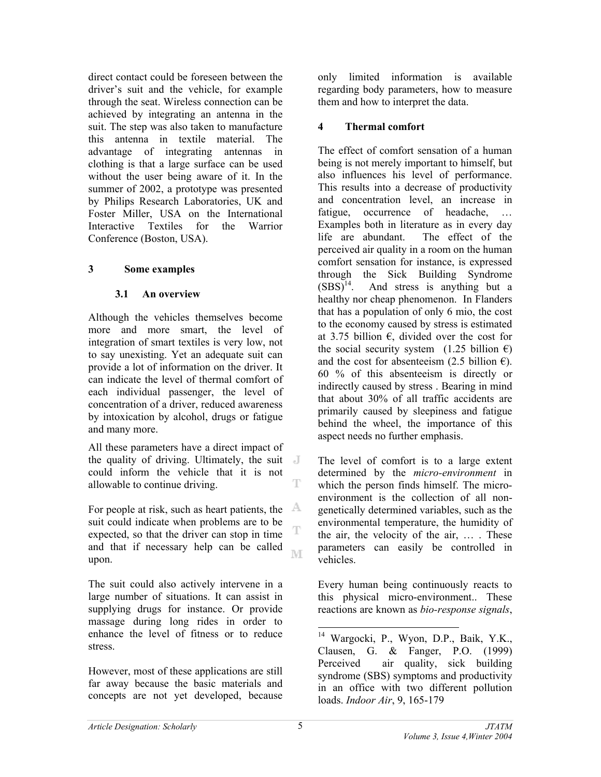direct contact could be foreseen between the driver's suit and the vehicle, for example through the seat. Wireless connection can be achieved by integrating an antenna in the suit. The step was also taken to manufacture this antenna in textile material. The advantage of integrating antennas in clothing is that a large surface can be used without the user being aware of it. In the summer of 2002, a prototype was presented by Philips Research Laboratories, UK and Foster Miller, USA on the International Interactive Textiles for the Warrior Conference (Boston, USA).

## **3 Some examples**

## **3.1 An overview**

Although the vehicles themselves become more and more smart, the level of integration of smart textiles is very low, not to say unexisting. Yet an adequate suit can provide a lot of information on the driver. It can indicate the level of thermal comfort of each individual passenger, the level of concentration of a driver, reduced awareness by intoxication by alcohol, drugs or fatigue and many more.

All these parameters have a direct impact of the quality of driving. Ultimately, the suit could inform the vehicle that it is not T allowable to continue driving.

For people at risk, such as heart patients, the  $A$ suit could indicate when problems are to be T expected, so that the driver can stop in time and that if necessary help can be called ΒÆ upon.

The suit could also actively intervene in a large number of situations. It can assist in supplying drugs for instance. Or provide massage during long rides in order to enhance the level of fitness or to reduce stress.

However, most of these applications are still far away because the basic materials and concepts are not yet developed, because

only limited information is available regarding body parameters, how to measure them and how to interpret the data.

## **4 Thermal comfort**

The effect of comfort sensation of a human being is not merely important to himself, but also influences his level of performance. This results into a decrease of productivity and concentration level, an increase in fatigue, occurrence of headache, Examples both in literature as in every day life are abundant. The effect of the perceived air quality in a room on the human comfort sensation for instance, is expressed through the Sick Building Syndrome  $(SBS)^{14}$ . And stress is anything but a healthy nor cheap phenomenon. In Flanders that has a population of only 6 mio, the cost to the economy caused by stress is estimated at 3.75 billion  $\epsilon$ , divided over the cost for the social security system  $(1.25 \text{ billion } \in)$ and the cost for absenteeism (2.5 billion  $\epsilon$ ). 60 % of this absenteeism is directly or indirectly caused by stress . Bearing in mind that about 30% of all traffic accidents are primarily caused by sleepiness and fatigue behind the wheel, the importance of this aspect needs no further emphasis.

The level of comfort is to a large extent determined by the *micro-environment* in which the person finds himself. The microenvironment is the collection of all nongenetically determined variables, such as the environmental temperature, the humidity of the air, the velocity of the air, … . These parameters can easily be controlled in vehicles.

Every human being continuously reacts to this physical micro-environment.. These reactions are known as *bio-response signals*,

 $\overline{\phantom{a}}$ <sup>14</sup> Wargocki, P., Wyon, D.P., Baik, Y.K., Clausen, G. & Fanger, P.O. (1999) Perceived air quality, sick building syndrome (SBS) symptoms and productivity in an office with two different pollution loads. *Indoor Air*, 9, 165-179